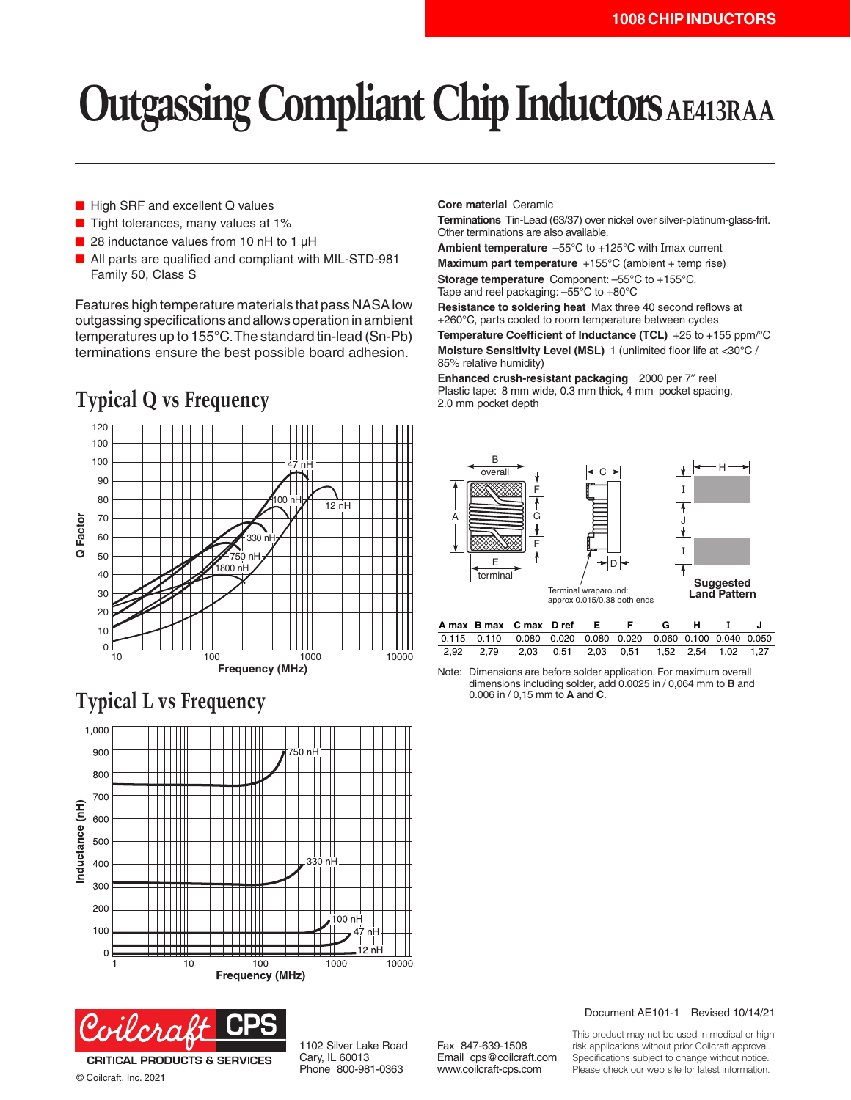# **Outgassing Compliant Chip Inductors AE413RAA**

- High SRF and excellent Q values
- Tight tolerances, many values at 1%
- 28 inductance values from 10 nH to 1  $\mu$ H
- All parts are qualified and compliant with MIL-STD-981 Family 50, Class S

Features high temperature materials that pass NASA low outgassing specifications and allows operation in ambient temperatures up to 155°C. The standard tin-lead (Sn-Pb) terminations ensure the best possible board adhesion.

## **Typical Q vs Frequency**



### **Typical L vs Frequency**





© Coilcraft, Inc. 2021

1102 Silver Lake Road Cary, IL 60013 Phone 800-981-0363

**Core material** Ceramic

**Terminations** Tin-Lead (63/37) over nickel over silver-platinum-glass-frit. Other terminations are also available.

**Ambient temperature** –55°C to +125°C with Imax current **Maximum part temperature** +155°C (ambient + temp rise) **Storage temperature** Component: –55°C to +155°C. Tape and reel packaging: –55°C to +80°C

**Resistance to soldering heat** Max three 40 second reflows at +260°C, parts cooled to room temperature between cycles **Temperature Coefficient of Inductance (TCL)** +25 to +155 ppm/°C **Moisture Sensitivity Level (MSL)** 1 (unlimited floor life at <30°C / 85% relative humidity)

**Enhanced crush-resistant packaging** 2000 per 7″ reel Plastic tape: 8 mm wide, 0.3 mm thick, 4 mm pocket spacing, 2.0 mm pocket depth



|  | A max B max C max D ref E                                            |  | 6 H |  |  |
|--|----------------------------------------------------------------------|--|-----|--|--|
|  | 0.115  0.110  0.080  0.020  0.080  0.020  0.060  0.100  0.040  0.050 |  |     |  |  |
|  | 2.92 2.79 2.03 0.51 2.03 0.51 1.52 2.54 1.02 1.27                    |  |     |  |  |

Note: Dimensions are before solder application. For maximum overall dimensions including solder, add 0.0025 in / 0,064 mm to **B** and 0.006 in / 0,15 mm to **A** and **C**.

Document AE101-1 Revised 10/14/21

This product may not be used in medical or high risk applications without prior Coilcraft approval. Specifications subject to change without notice. Please check our web site for latest information.

Fax 847-639-1508 Email cps@coilcraft.com www.coilcraft-cps.com